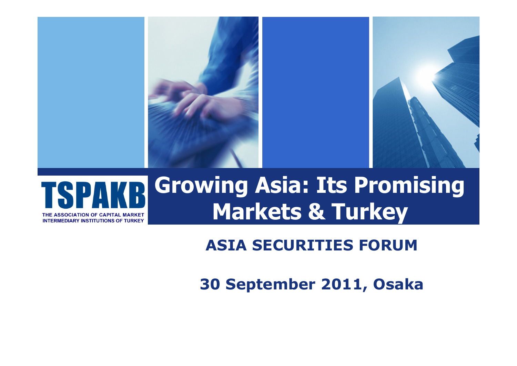

#### **Growing Asia: Its Promising Markets & Turkey SOCIATION OF CAPITAL MARKET INTERMEDIARY INSTITUTIONS OF TURKEY**

### **ASIA SECURITIES FORUM**

**30 September 2011, Osaka**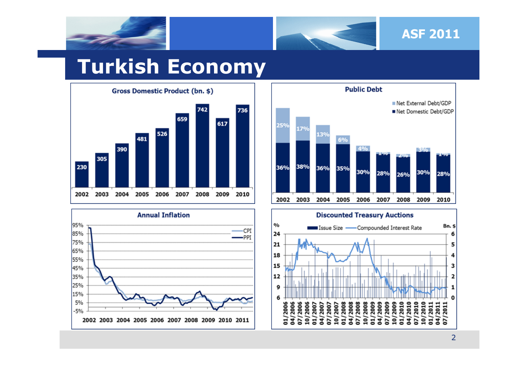



## **Turkish Economy**







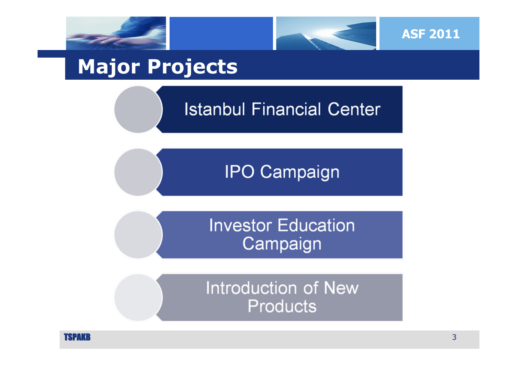



# **Major Projects**

### **Istanbul Financial Center**



### **Investor Education** Campaign

**Introduction of New Products** 

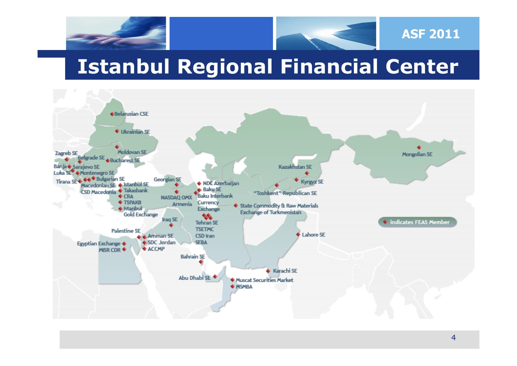



# **Istanbul Regional Financial Center**



**ASF 2011**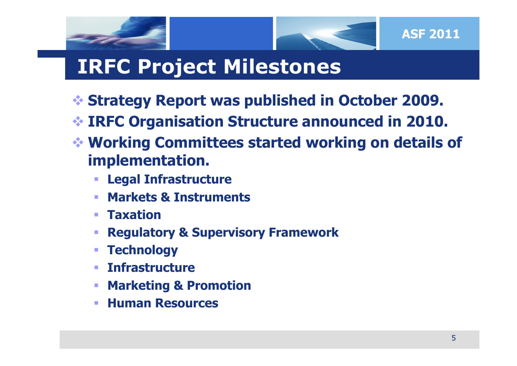



# **IRFC Project Milestones**

- **Strategy Report was published in October 2009.**
- **IRFC Organisation Structure announced in 2010.**
- **Working Committees started working on details of implementation.**
	- **Legal Infrastructure**
	- **Service Service Markets & Instruments**
	- **Taxation**
	- **Regulatory & Supervisory Framework**
	- **Service Service Technology**
	- **Infrastructure**
	- **Marketing & Promotion**
	- **Human Resources**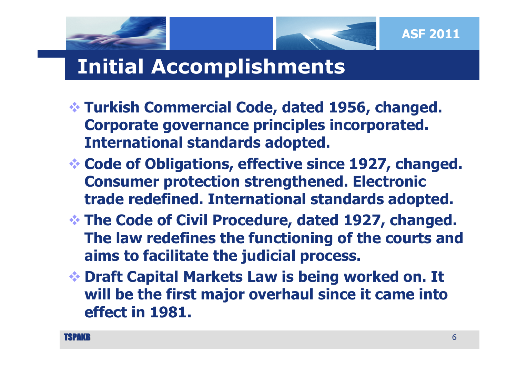



# **Initial Accomplishments**

- **Turkish Commercial Code, dated 1956, changed. Corporate governance principles incorporated. International standards adopted.**
- **Code of Obligations, effective since 1927, changed. Consumer protection strengthened. Electronic trade redefined. International standards adopted.**
- **The Code of Civil Procedure, dated 1927, changed. The law redefines the functioning of the courts and aims to facilitate the judicial process.**
- **Draft Capital Markets Law is being worked on. It will be the first major overhaul since it came into effect in 1981.**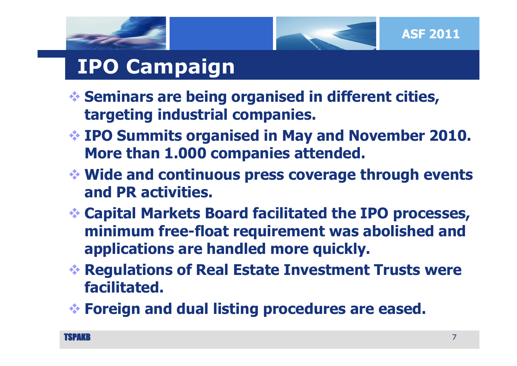



- **Seminars are being organised in different cities, targeting industrial companies.**
- **IPO Summits organised in May and November 2010. More than 1.000 companies attended.**
- **Wide and continuous press coverage through events and PR activities.**
- **Capital Markets Board facilitated the IPO processes, minimum free-float requirement was abolished and applications are handled more quickly.**
- **Regulations of Real Estate Investment Trusts were facilitated.**
- **Foreign and dual listing procedures are eased.**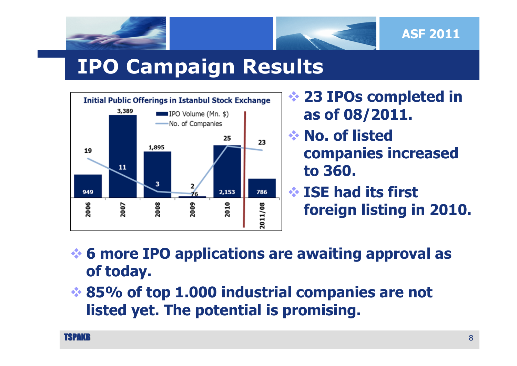

# **IPO Campaign Results**



 **23 IPOs completed in as of 08/2011.**

- **No. of listed companies increased to 360.**
- **ISE had its first foreign listing in 2010.**

 **6 more IPO applications are awaiting approval as of today.** 

 **85% of top 1.000 industrial companies are not listed yet. The potential is promising.**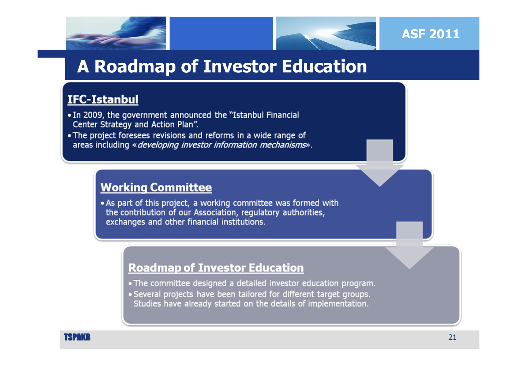



### **A Roadmap of Investor Education**

#### **IFC-Istanbul**

- In 2009, the government announced the "Istanbul Financial Center Strategy and Action Plan".
- The project foresees revisions and reforms in a wide range of areas including « developing investor information mechanisms».

#### **Working Committee**

• As part of this project, a working committee was formed with the contribution of our Association, regulatory authorities, exchanges and other financial institutions.

#### **Roadmap of Investor Education**

- The committee designed a detailed investor education program.
- Several projects have been tailored for different target groups. Studies have already started on the details of implementation.

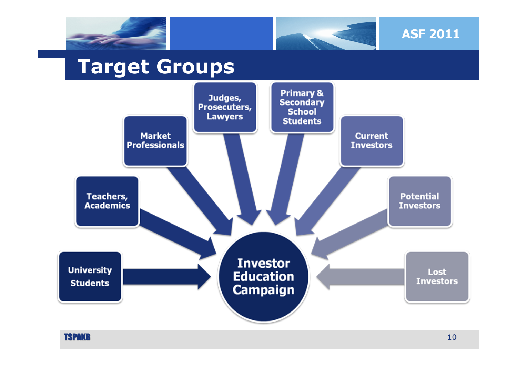



# **Target Groups**



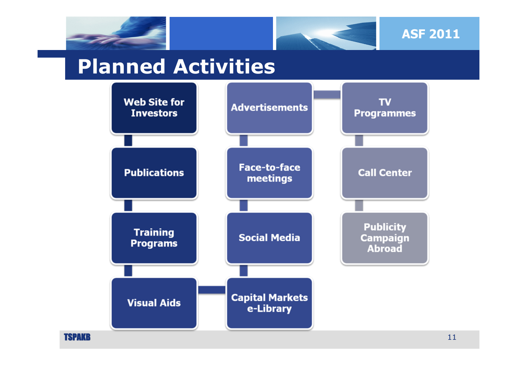





## **Planned Activities**



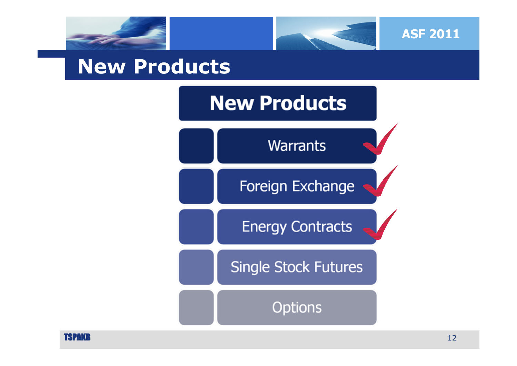



### **New Products**



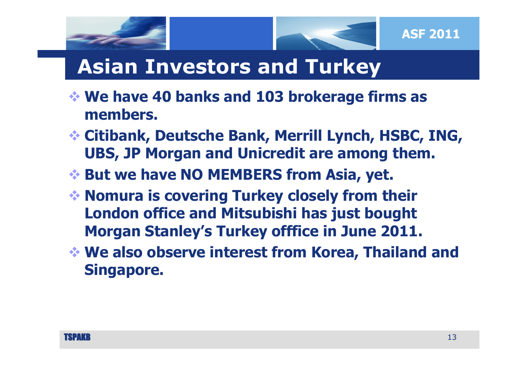

# **Asian Investors and Turkey**

- **We have 40 banks and 103 brokerage firms as members.**
- **Citibank, Deutsche Bank, Merrill Lynch, HSBC, ING, UBS, JP Morgan and Unicredit are among them.**
- **But we have NO MEMBERS from Asia, yet.**
- **Nomura is covering Turkey closely from their London office and Mitsubishi has just bought Morgan Stanley's Turkey offfice in June 2011.**
- **We also observe interest from Korea, Thailand and Singapore.**

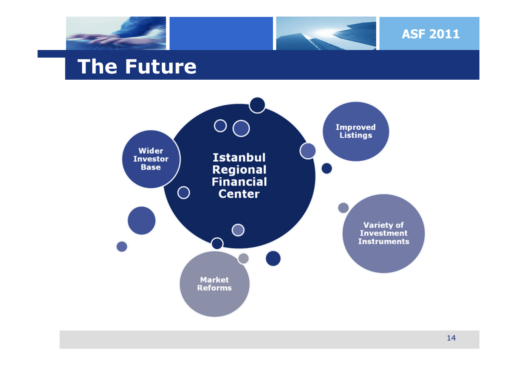



### **The Future**